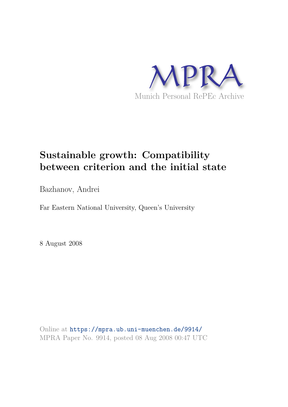

# **Sustainable growth: Compatibility between criterion and the initial state**

Bazhanov, Andrei

Far Eastern National University, Queen's University

8 August 2008

Online at https://mpra.ub.uni-muenchen.de/9914/ MPRA Paper No. 9914, posted 08 Aug 2008 00:47 UTC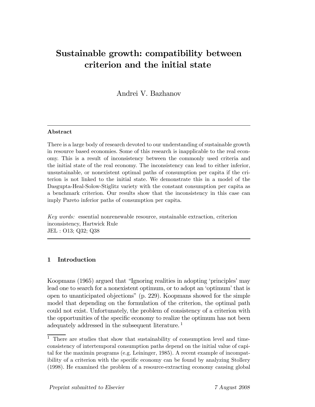# Sustainable growth: compatibility between criterion and the initial state

Andrei V. Bazhanov

#### Abstract

There is a large body of research devoted to our understanding of sustainable growth in resource based economies. Some of this research is inapplicable to the real economy. This is a result of inconsistency between the commonly used criteria and the initial state of the real economy. The inconsistency can lead to either inferior, unsustainable, or nonexistent optimal paths of consumption per capita if the criterion is not linked to the initial state. We demonstrate this in a model of the Dasgupta-Heal-Solow-Stiglitz variety with the constant consumption per capita as a benchmark criterion. Our results show that the inconsistency in this case can imply Pareto inferior paths of consumption per capita.

Key words: essential nonrenewable resource, sustainable extraction, criterion inconsistency, Hartwick Rule JEL : O13; Q32; Q38

# 1 Introduction

Koopmans (1965) argued that "Ignoring realities in adopting 'principles' may lead one to search for a nonexistent optimum, or to adopt an 'optimum' that is open to unanticipated objections" (p. 229). Koopmans showed for the simple model that depending on the formulation of the criterion, the optimal path could not exist. Unfortunately, the problem of consistency of a criterion with the opportunities of the specific economy to realize the optimum has not been adequately addressed in the subsequent literature.<sup>1</sup>

<sup>&</sup>lt;sup>1</sup> There are studies that show that sustainability of consumption level and timeconsistency of intertemporal consumption paths depend on the initial value of capital for the maximin programs (e.g. Leininger, 1985). A recent example of incompatibility of a criterion with the specific economy can be found by analyzing Stollery (1998). He examined the problem of a resource-extracting economy causing global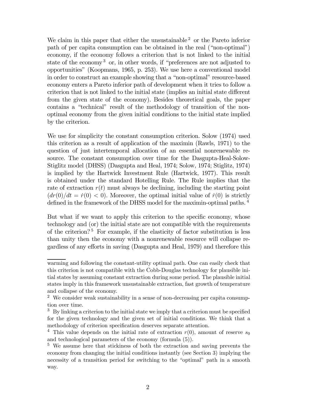We claim in this paper that either the unsustainable  $2$  or the Pareto inferior path of per capita consumption can be obtained in the real ("non-optimal") economy, if the economy follows a criterion that is not linked to the initial state of the economy<sup>3</sup> or, in other words, if "preferences are not adjusted to opportunities" (Koopmans, 1965, p. 253). We use here a conventional model in order to construct an example showing that a "non-optimal" resource-based economy enters a Pareto inferior path of development when it tries to follow a criterion that is not linked to the initial state (implies an initial state different from the given state of the economy). Besides theoretical goals, the paper contains a "technical" result of the methodology of transition of the nonoptimal economy from the given initial conditions to the initial state implied by the criterion.

We use for simplicity the constant consumption criterion. Solow (1974) used this criterion as a result of application of the maximin (Rawls, 1971) to the question of just intertemporal allocation of an essential nonrenewable resource. The constant consumption over time for the Dasgupta-Heal-Solow-Stiglitz model (DHSS) (Dasgupta and Heal, 1974; Solow, 1974; Stiglitz, 1974) is implied by the Hartwick Investment Rule (Hartwick, 1977). This result is obtained under the standard Hotelling Rule. The Rule implies that the rate of extraction  $r(t)$  must always be declining, including the starting point  $(dr(0)/dt = r(0) < 0)$ . Moreover, the optimal initial value of  $\dot{r}(0)$  is strictly defined in the framework of the DHSS model for the maximin-optimal paths. <sup>4</sup>

But what if we want to apply this criterion to the specific economy, whose technology and (or) the initial state are not compatible with the requirements of the criterion?<sup>5</sup> For example, if the elasticity of factor substitution is less than unity then the economy with a nonrenewable resource will collapse regardless of any efforts in saving (Dasgupta and Heal, 1979) and therefore this

warming and following the constant-utility optimal path. One can easily check that this criterion is not compatible with the Cobb-Douglas technology for plausible initial states by assuming constant extraction during some period. The plausible initial states imply in this framework unsustainable extraction, fast growth of temperature and collapse of the economy.

<sup>2</sup> We consider weak sustainability in a sense of non-decreasing per capita consumption over time.

 $3\,$  By linking a criterion to the initial state we imply that a criterion must be specified for the given technology and the given set of initial conditions. We think that a methodology of criterion specification deserves separate attention.

<sup>&</sup>lt;sup>4</sup> This value depends on the initial rate of extraction  $r(0)$ , amount of reserve s<sub>0</sub> and technological parameters of the economy (formula (5)).

<sup>&</sup>lt;sup>5</sup> We assume here that stickiness of both the extraction and saving prevents the economy from changing the initial conditions instantly (see Section 3) implying the necessity of a transition period for switching to the "optimal" path in a smooth way.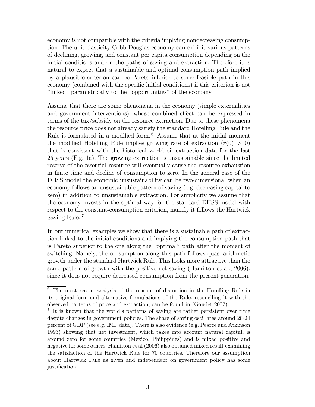economy is not compatible with the criteria implying nondecreasing consumption. The unit-elasticity Cobb-Douglas economy can exhibit various patterns of declining, growing, and constant per capita consumption depending on the initial conditions and on the paths of saving and extraction. Therefore it is natural to expect that a sustainable and optimal consumption path implied by a plausible criterion can be Pareto inferior to some feasible path in this economy (combined with the specific initial conditions) if this criterion is not "linked" parametrically to the "opportunities" of the economy.

Assume that there are some phenomena in the economy (simple externalities and government interventions), whose combined effect can be expressed in terms of the tax/subsidy on the resource extraction. Due to these phenomena the resource price does not already satisfy the standard Hotelling Rule and the Rule is formulated in a modified form. <sup>6</sup> Assume that at the initial moment the modified Hotelling Rule implies growing rate of extraction  $(\dot{r}(0) > 0)$ that is consistent with the historical world oil extraction data for the last 25 years (Fig. 1a). The growing extraction is unsustainable since the limited reserve of the essential resource will eventually cause the resource exhaustion in finite time and decline of consumption to zero. In the general case of the DHSS model the economic unsustainability can be two-dimensional when an economy follows an unsustainable pattern of saving (e.g. decreasing capital to zero) in addition to unsustainable extraction. For simplicity we assume that the economy invests in the optimal way for the standard DHSS model with respect to the constant-consumption criterion, namely it follows the Hartwick Saving Rule. <sup>7</sup>

In our numerical examples we show that there is a sustainable path of extraction linked to the initial conditions and implying the consumption path that is Pareto superior to the one along the "optimal" path after the moment of switching. Namely, the consumption along this path follows quasi-arithmetic growth under the standard Hartwick Rule. This looks more attractive than the same pattern of growth with the positive net saving (Hamilton et al., 2006), since it does not require decreased consumption from the present generation.

<sup>6</sup> The most recent analysis of the reasons of distortion in the Hotelling Rule in its original form and alternative formulations of the Rule, reconciling it with the observed patterns of price and extraction, can be found in (Gaudet 2007).

<sup>7</sup> It is known that the world's patterns of saving are rather persistent over time despite changes in government policies. The share of saving oscillates around 20-24 percent of GDP (see e.g. IMF data). There is also evidence (e.g. Pearce and Atkinson 1993) showing that net investment, which takes into account natural capital, is around zero for some countries (Mexico, Philippines) and is mixed positive and negative for some others. Hamilton et al (2006) also obtained mixed result examining the satisfaction of the Hartwick Rule for 70 countries. Therefore our assumption about Hartwick Rule as given and independent on government policy has some justification.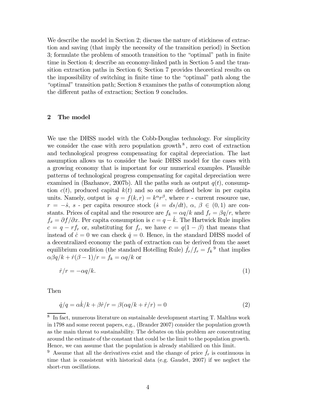We describe the model in Section 2; discuss the nature of stickiness of extraction and saving (that imply the necessity of the transition period) in Section 3; formulate the problem of smooth transition to the "optimal" path in finite time in Section 4; describe an economy-linked path in Section 5 and the transition extraction paths in Section 6; Section 7 provides theoretical results on the impossibility of switching in finite time to the "optimal" path along the "optimal" transition path; Section 8 examines the paths of consumption along the different paths of extraction; Section 9 concludes.

# 2 The model

We use the DHSS model with the Cobb-Douglas technology. For simplicity we consider the case with zero population growth<sup>8</sup>, zero cost of extraction and technological progress compensating for capital depreciation. The last assumption allows us to consider the basic DHSS model for the cases with a growing economy that is important for our numerical examples. Plausible patterns of technological progress compensating for capital depreciation were examined in (Bazhanov, 2007b). All the paths such as output  $q(t)$ , consumption  $c(t)$ , produced capital  $k(t)$  and so on are defined below in per capita units. Namely, output is  $q = f(k,r) = k^{\alpha}r^{\beta}$ , where r - current resource use,  $r = -\dot{s}, s$  · per capita resource stock  $(\dot{s} = ds/dt), \alpha, \beta \in (0, 1)$  are constants. Prices of capital and the resource are  $f_k = \alpha q/k$  and  $f_r = \beta q/r$ , where  $f_x = \partial f / \partial x$ . Per capita consumption is  $c = q - \dot{k}$ . The Hartwick Rule implies  $c = q - rf_r$ , or, substituting for  $f_r$ , we have  $c = q(1 - \beta)$  that means that instead of  $\dot{c} = 0$  we can check  $\dot{q} = 0$ . Hence, in the standard DHSS model of a decentralized economy the path of extraction can be derived from the asset equilibrium condition (the standard Hotelling Rule)  $\dot{f}_r/f_r = f_k^9$  that implies  $\alpha\beta q/k + \dot{r}(\beta - 1)/r = f_k = \alpha q/k$  or

$$
\dot{r}/r = -\alpha q/k. \tag{1}
$$

Then

$$
\dot{q}/q = \alpha \dot{k}/k + \beta \dot{r}/r = \beta(\alpha q/k + \dot{r}/r) = 0
$$
\n(2)

<sup>8</sup> In fact, numerous literature on sustainable development starting T. Malthus work in 1798 and some recent papers, e.g., (Brander 2007) consider the population growth as the main threat to sustainability. The debates on this problem are concentrating around the estimate of the constant that could be the limit to the population growth. Hence, we can assume that the population is already stabilized on this limit.

<sup>&</sup>lt;sup>9</sup> Assume that all the derivatives exist and the change of price  $\dot{f}_r$  is continuous in time that is consistent with historical data (e.g. Gaudet, 2007) if we neglect the short-run oscillations.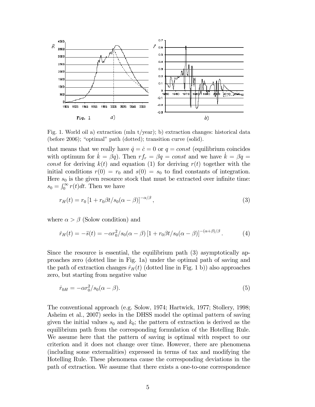

Fig. 1. World oil a) extraction (mln  $t$ /year); b) extraction changes: historical data (before 2006); "optimal" path (dotted); transition curve (solid).

that means that we really have  $\dot{q} = \dot{c} = 0$  or  $q = const$  (equilibrium coincides with optimum for  $\dot{k} = \beta q$ . Then  $rf_r = \beta q = const$  and we have  $\dot{k} = \beta q =$ const for deriving  $k(t)$  and equation (1) for deriving  $r(t)$  together with the initial conditions  $r(0) = r_0$  and  $s(0) = s_0$  to find constants of integration. Here  $s_0$  is the given resource stock that must be extracted over infinite time:  $s_0 = \int_0^\infty r(t)dt$ . Then we have

$$
r_H(t) = r_0 \left[ 1 + r_0 \beta t / s_0 (\alpha - \beta) \right]^{-\alpha/\beta},\tag{3}
$$

where  $\alpha > \beta$  (Solow condition) and

$$
\dot{r}_H(t) = -\ddot{s}(t) = -\alpha r_0^2 / s_0(\alpha - \beta) \left[1 + r_0 \beta t / s_0(\alpha - \beta)\right]^{-(\alpha + \beta)/\beta}.
$$
 (4)

Since the resource is essential, the equilibrium path (3) asymptotically approaches zero (dotted line in Fig. 1a) under the optimal path of saving and the path of extraction changes  $\dot{r}_H(t)$  (dotted line in Fig. 1 b)) also approaches zero, but starting from negative value

$$
\dot{r}_{0H} = -\alpha r_0^2 / s_0(\alpha - \beta). \tag{5}
$$

The conventional approach (e.g. Solow, 1974; Hartwick, 1977; Stollery, 1998; Asheim et al., 2007) seeks in the DHSS model the optimal pattern of saving given the initial values  $s_0$  and  $k_0$ ; the pattern of extraction is derived as the equilibrium path from the corresponding formulation of the Hotelling Rule. We assume here that the pattern of saving is optimal with respect to our criterion and it does not change over time. However, there are phenomena (including some externalities) expressed in terms of tax and modifying the Hotelling Rule. These phenomena cause the corresponding deviations in the path of extraction. We assume that there exists a one-to-one correspondence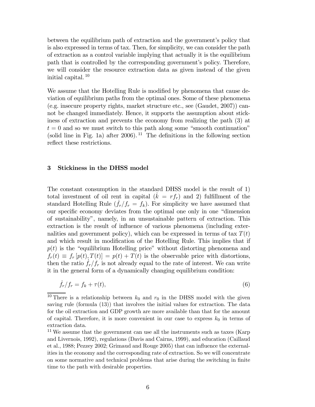between the equilibrium path of extraction and the government's policy that is also expressed in terms of tax. Then, for simplicity, we can consider the path of extraction as a control variable implying that actually it is the equilibrium path that is controlled by the corresponding government's policy. Therefore, we will consider the resource extraction data as given instead of the given initial capital. <sup>10</sup>

We assume that the Hotelling Rule is modified by phenomena that cause deviation of equilibrium paths from the optimal ones. Some of these phenomena (e.g. insecure property rights, market structure etc., see (Gaudet, 2007)) cannot be changed immediately. Hence, it supports the assumption about stickiness of extraction and prevents the economy from realizing the path (3) at  $t = 0$  and so we must switch to this path along some "smooth continuation" (solid line in Fig. 1a) after 2006).<sup>11</sup> The definitions in the following section reflect these restrictions.

#### 3 Stickiness in the DHSS model

The constant consumption in the standard DHSS model is the result of 1) total investment of oil rent in capital  $(k = rf_r)$  and 2) fulfillment of the standard Hotelling Rule  $(f_r/f_r = f_k)$ . For simplicity we have assumed that our specific economy deviates from the optimal one only in one "dimension of sustainability", namely, in an unsustainable pattern of extraction. This extraction is the result of influence of various phenomena (including externalities and government policy), which can be expressed in terms of tax  $T(t)$ and which result in modification of the Hotelling Rule. This implies that if  $p(t)$  is the "equilibrium Hotelling price" without distorting phenomena and  $f_r(t) \equiv f_r[p(t),T(t)] = p(t) + T(t)$  is the observable price with distortions, then the ratio  $f_r/f_r$  is not already equal to the rate of interest. We can write it in the general form of a dynamically changing equilibrium condition:

$$
\dot{f}_r/f_r = f_k + \tau(t),\tag{6}
$$

<sup>&</sup>lt;sup>10</sup> There is a relationship between  $k_0$  and  $r_0$  in the DHSS model with the given saving rule (formula (13)) that involves the initial values for extraction. The data for the oil extraction and GDP growth are more available than that for the amount of capital. Therefore, it is more convenient in our case to express  $k_0$  in terms of extraction data.

<sup>&</sup>lt;sup>11</sup> We assume that the government can use all the instruments such as taxes (Karp and Livernois, 1992), regulations (Davis and Cairns, 1999), and education (Caillaud et al., 1988; Pezzey 2002; Grimaud and Rouge 2005) that can influence the externalities in the economy and the corresponding rate of extraction. So we will concentrate on some normative and technical problems that arise during the switching in finite time to the path with desirable properties.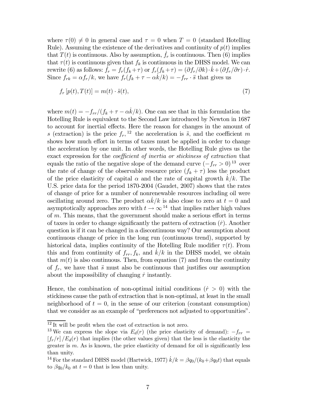where  $\tau(0) \neq 0$  in general case and  $\tau = 0$  when  $T = 0$  (standard Hotelling Rule). Assuming the existence of the derivatives and continuity of  $p(t)$  implies that  $T(t)$  is continuous. Also by assumption,  $f_r$  is continuous. Then (6) implies that  $\tau(t)$  is continuous given that  $f_k$  is continuous in the DHSS model. We can rewrite (6) as follows:  $\dot{f}_r = f_r(f_k + \tau)$  or  $f_r(f_k + \tau) =(\partial f_r/\partial k) \cdot \dot{k} +(\partial f_r/\partial r) \cdot \dot{r}$ . Since  $f_{rk} = \alpha f_r/k$ , we have  $f_r(f_k + \tau - \alpha k/k) = -f_{rr} \cdot \hat{s}$  that gives us

$$
f_r[p(t),T(t)] = m(t) \cdot \ddot{s}(t),\tag{7}
$$

where  $m(t) = -f_{rr}/(f_k + \tau - \alpha k/k)$ . One can see that in this formulation the Hotelling Rule is equivalent to the Second Law introduced by Newton in 1687 to account for inertial effects. Here the reason for changes in the amount of s (extraction) is the price  $f_r$ , <sup>12</sup> the acceleration is  $\ddot{s}$ , and the coefficient m shows how much effort in terms of taxes must be applied in order to change the acceleration by one unit. In other words, the Hotelling Rule gives us the exact expression for the coefficient of inertia or stickiness of extraction that equals the ratio of the negative slope of the demand curve  $(-f_{rr} > 0)^{13}$  over the rate of change of the observable resource price  $(f_k + \tau)$  less the product of the price elasticity of capital  $\alpha$  and the rate of capital growth  $k/k$ . The U.S. price data for the period 1870-2004 (Gaudet, 2007) shows that the rates of change of price for a number of nonrenewable resources including oil were oscillating around zero. The product  $\alpha \dot{k}/k$  is also close to zero at  $t = 0$  and asymptotically approaches zero with  $t \to \infty^{14}$  that implies rather high values of  $m$ . This means, that the government should make a serious effort in terms of taxes in order to change significantly the pattern of extraction  $(\dot{r})$ . Another question is if it can be changed in a discontinuous way? Our assumption about continuous change of price in the long run (continuous trend), supported by historical data, implies continuity of the Hotelling Rule modifier  $\tau(t)$ . From this and from continuity of  $f_{rr}$ ,  $f_k$ , and  $k/k$  in the DHSS model, we obtain that  $m(t)$  is also continuous. Then, from equation (7) and from the continuity of  $f_r$ , we have that  $\ddot{s}$  must also be continuous that justifies our assumption about the impossibility of changing  $\dot{r}$  instantly.

Hence, the combination of non-optimal initial conditions  $(\dot{r} > 0)$  with the stickiness cause the path of extraction that is non-optimal, at least in the small neighborhood of  $t = 0$ , in the sense of our criterion (constant consumption) that we consider as an example of "preferences not adjusted to opportunities".

 $^{12}\,\rm{It}$  will be profit when the cost of extraction is not zero.

<sup>&</sup>lt;sup>13</sup> We can express the slope via  $E_d(r)$  (the price elasticity of demand):  $-f_{rr}$  =  $[f_r/r]/E_d(r)$  that implies (the other values given) that the less is the elasticity the greater is  $m$ . As is known, the price elasticity of demand for oil is significantly less than unity.

<sup>&</sup>lt;sup>14</sup> For the standard DHSS model (Hartwick, 1977)  $\dot{k}/k = \beta q_0/(k_0+\beta q_0t)$  that equals to  $\beta q_0/k_0$  at  $t = 0$  that is less than unity.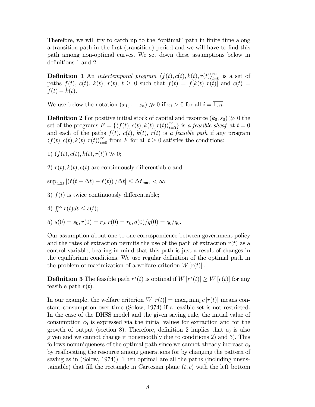Therefore, we will try to catch up to the "optimal" path in finite time along a transition path in the first (transition) period and we will have to find this path among non-optimal curves. We set down these assumptions below in definitions 1 and 2.

**Definition 1** An *intertemporal program*  $\langle f(t), c(t), k(t), r(t) \rangle_{t=0}^{\infty}$  is a set of paths  $f(t)$ ,  $c(t)$ ,  $k(t)$ ,  $r(t)$ ,  $t \geq 0$  such that  $f(t) = f[k(t), r(t)]$  and  $c(t) =$  $f(t) - k(t)$ .

We use below the notation  $(x_1,...x_n) \gg 0$  if  $x_i > 0$  for all  $i = \overline{1,n}$ .

**Definition 2** For positive initial stock of capital and resource  $(k_0, s_0) \gg 0$  the set of the programs  $F = \{ \langle f(t), c(t), k(t), r(t) \rangle_{t=0}^{\infty} \}$  is a feasible sheaf at  $t = 0$ and each of the paths  $f(t)$ ,  $c(t)$ ,  $k(t)$ ,  $r(t)$  is a feasible path if any program  $\langle f(t), c(t), k(t), r(t) \rangle_{t=0}^{\infty}$  from F for all  $t \geq 0$  satisfies the conditions:

1)  $(f(t), c(t), k(t), r(t)) \gg 0;$ 

2)  $r(t)$ ,  $k(t)$ ,  $c(t)$  are continuously differentiable and

 $\sup_{t,\Delta t} |(\dot{r}(t+\Delta t)-\dot{r}(t))|/\Delta t| \leq \Delta \dot{r}_{\text{max}} < \infty;$ 

3)  $f(t)$  is twice continuously differentiable;

4) 
$$
\int_t^{\infty} r(t)dt \leq s(t);
$$

5) 
$$
s(0) = s_0, r(0) = r_0, \dot{r}(0) = \dot{r}_0, \dot{q}(0)/q(0) = \dot{q}_0/q_0.
$$

Our assumption about one-to-one correspondence between government policy and the rates of extraction permits the use of the path of extraction  $r(t)$  as a control variable, bearing in mind that this path is just a result of changes in the equilibrium conditions. We use regular definition of the optimal path in the problem of maximization of a welfare criterion  $W[r(t)]$ .

**Definition 3** The feasible path  $r^*(t)$  is optimal if  $W[r^*(t)] \geq W[r(t)]$  for any feasible path  $r(t)$ .

In our example, the welfare criterion  $W[r(t)] = \max_r \min_t c[r(t)]$  means constant consumption over time (Solow, 1974) if a feasible set is not restricted. In the case of the DHSS model and the given saving rule, the initial value of consumption  $c_0$  is expressed via the initial values for extraction and for the growth of output (section 8). Therefore, definition 2 implies that  $c_0$  is also given and we cannot change it nonsmoothly due to conditions 2) and 3). This follows nonuniqueness of the optimal path since we cannot already increase  $c_0$ by reallocating the resource among generations (or by changing the pattern of saving as in (Solow, 1974)). Then optimal are all the paths (including unsustainable) that fill the rectangle in Cartesian plane  $(t, c)$  with the left bottom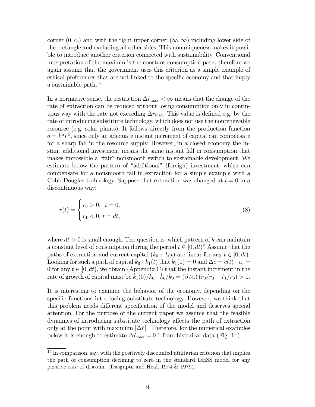corner  $(0, c_0)$  and with the right upper corner  $(\infty, \infty)$  including lower side of the rectangle and excluding all other sides. This nonuniqueness makes it possible to introduce another criterion connected with sustainability. Conventional interpretation of the maximin is the constant-consumption path, therefore we again assume that the government uses this criterion as a simple example of ethical preferences that are not linked to the specific economy and that imply a sustainable path. <sup>15</sup>

In a normative sense, the restriction  $\Delta \dot{r}_{\rm max} < \infty$  means that the change of the rate of extraction can be reduced without losing consumption only in continuous way with the rate not exceeding  $\Delta \dot{r}_{\text{max}}$ . This value is defined e.g. by the rate of introducing substitute technology, which does not use the nonrenewable resource (e.g. solar plants). It follows directly from the production function  $q = k^{\alpha} r^{\beta}$ , since only an adequate instant increment of capital can compensate for a sharp fall in the resource supply. However, in a closed economy the instant additional investment means the same instant fall in consumption that makes impossible a "fair" nonsmooth switch to sustainable development. We estimate below the pattern of "additional" (foreign) investment, which can compensate for a nonsmooth fall in extraction for a simple example with a Cobb-Douglas technology. Suppose that extraction was changed at  $t = 0$  in a discontinuous way:

$$
\dot{r}(t) = \begin{cases} \dot{r}_0 > 0, \ t = 0, \\ \dot{r}_1 < 0, \ t = dt, \end{cases} \tag{8}
$$

where  $dt > 0$  is small enough. The question is: which pattern of k can maintain a constant level of consumption during the period  $t \in [0, dt)$ ? Assume that the paths of extraction and current capital  $(k_0 + k_0t)$  are linear for any  $t \in [0, dt)$ . Looking for such a path of capital  $k_0+k_1(t)$  that  $k_1(0) = 0$  and  $\Delta c = c(t)-c_0 = 0$ 0 for any  $t \in [0, dt)$ , we obtain (Appendix C) that the instant increment in the rate of growth of capital must be  $k_1(0)/k_0 - k_0/k_0 = (\beta/\alpha)(\dot{r}_0/r_0 - \dot{r}_1/r_0) > 0.$ 

It is interesting to examine the behavior of the economy, depending on the specific functions introducing substitute technology. However, we think that this problem needs different specification of the model and deserves special attention. For the purpose of the current paper we assume that the feasible dynamics of introducing substitute technology affects the path of extraction only at the point with maximum  $|\Delta \dot{r}|$ . Therefore, for the numerical examples below it is enough to estimate  $\Delta \dot{r}_{\text{max}} = 0.1$  from historical data (Fig. 1b).

<sup>15</sup> In comparison, say, with the positively discounted utilitarian criterion that implies the path of consumption declining to zero in the standard DHSS model for any positive rate of discount (Dasgupta and Heal, 1974 & 1979).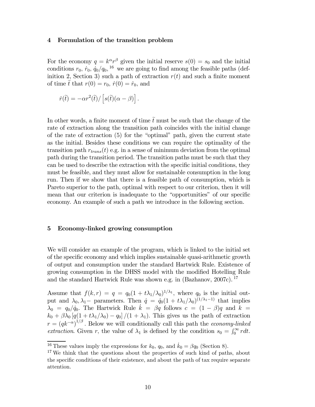#### 4 Formulation of the transition problem

For the economy  $q = k^{\alpha} r^{\beta}$  given the initial reserve  $s(0) = s_0$  and the initial conditions  $r_0$ ,  $\dot{r}_0$ ,  $\dot{q}_0/q_0$ , <sup>16</sup> we are going to find among the feasible paths (definition 2, Section 3) such a path of extraction  $r(t)$  and such a finite moment of time t that  $r(0) = r_0$ ,  $\dot{r}(0) = \dot{r}_0$ , and

$$
\dot{r}(\tilde{t}) = -\alpha r^2(\tilde{t}) / \left[ s(\tilde{t})(\alpha - \beta) \right].
$$

In other words, a finite moment of time  $\tilde{t}$  must be such that the change of the rate of extraction along the transition path coincides with the initial change of the rate of extraction (5) for the "optimal" path, given the current state as the initial. Besides these conditions we can require the optimality of the transition path  $r_{trans}(t)$  e.g. in a sense of minimum deviation from the optimal path during the transition period. The transition paths must be such that they can be used to describe the extraction with the specific initial conditions, they must be feasible, and they must allow for sustainable consumption in the long run. Then if we show that there is a feasible path of consumption, which is Pareto superior to the path, optimal with respect to our criterion, then it will mean that our criterion is inadequate to the "opportunities" of our specific economy. An example of such a path we introduce in the following section.

#### 5 Economy-linked growing consumption

We will consider an example of the program, which is linked to the initial set of the specific economy and which implies sustainable quasi-arithmetic growth of output and consumption under the standard Hartwick Rule. Existence of growing consumption in the DHSS model with the modified Hotelling Rule and the standard Hartwick Rule was shown e.g. in (Bazhanov, 2007c). <sup>17</sup>

Assume that  $f(k,r) = q = q_0(1 + t\lambda_1/\lambda_0)^{1/\lambda_1}$ , where  $q_0$  is the initial output and  $\lambda_0, \lambda_1$  – parameters. Then  $q = q_0(1 + t\lambda_1/\lambda_0)^{(1/\lambda_1 - 1)}$  that implies  $\lambda_0 = q_0/\dot{q}_0$ . The Hartwick Rule  $\dot{k} = \beta q$  follows  $c = (1 - \beta)q$  and  $k =$  $k_0 + \beta \lambda_0 \left[ q(1 + t\lambda_1/\lambda_0) - q_0 \right] / (1 + \lambda_1)$ . This gives us the path of extraction  $r = (qk^{-\alpha})^{1/\beta}$ . Below we will conditionally call this path the *economy-linked* extraction. Given r, the value of  $\lambda_1$  is defined by the condition  $s_0 = \int_0^\infty r dt$ .

<sup>&</sup>lt;sup>16</sup> These values imply the expressions for  $k_0$ ,  $q_0$ , and  $\dot{k}_0 = \beta q_0$  (Section 8).

<sup>&</sup>lt;sup>17</sup> We think that the questions about the properties of such kind of paths, about the specific conditions of their existence, and about the path of tax require separate attention.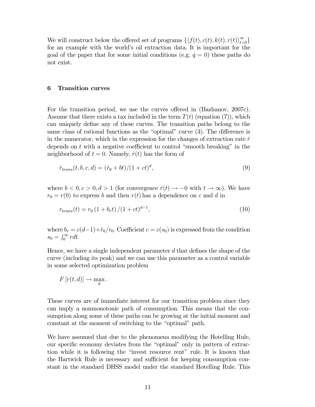We will construct below the offered set of programs  $\{\langle f(t), c(t), k(t), r(t) \rangle_{t=0}^{\infty}\}$ for an example with the world's oil extraction data. It is important for the goal of the paper that for some initial conditions (e.g.  $\dot{q} = 0$ ) these paths do not exist.

#### 6 Transition curves

For the transition period, we use the curves offered in (Bazhanov, 2007c). Assume that there exists a tax included in the term  $T(t)$  (equation (7), which can uniquely define any of these curves. The transition paths belong to the same class of rational functions as the "optimal" curve (3). The difference is in the numerator, which in the expression for the changes of extraction rate  $\dot{r}$ depends on  $t$  with a negative coefficient to control "smooth breaking" in the neighborhood of  $t = 0$ . Namely,  $\dot{r}(t)$  has the form of

$$
\dot{r}_{trans}(t, b, c, d) = (\dot{r}_0 + bt)/(1 + ct)^d,
$$
\n(9)

where  $b < 0, c > 0, d > 1$  (for convergence  $\dot{r}(t) \rightarrow -0$  with  $t \rightarrow \infty$ ). We have  $r_0 = r(0)$  to express b and then  $r(t)$  has a dependence on c and d in

$$
r_{trans}(t) = r_0 \left(1 + b_r t\right) / (1 + ct)^{d-1},\tag{10}
$$

where  $b_r = c(d-1)+\dot{r}_0/r_0$ . Coefficient  $c = c(s_0)$  is expressed from the condition  $s_0 = \int_0^\infty r dt$ .

Hence, we have a single independent parameter  $d$  that defines the shape of the curve (including its peak) and we can use this parameter as a control variable in some selected optimization problem

$$
F[r(t, d)] \to \max_{d}.
$$

These curves are of immediate interest for our transition problem since they can imply a nonmonotonic path of consumption. This means that the consumption along some of these paths can be growing at the initial moment and constant at the moment of switching to the "optimal" path.

We have assumed that due to the phenomena modifying the Hotelling Rule, our specific economy deviates from the "optimal" only in pattern of extraction while it is following the "invest resource rent" rule. It is known that the Hartwick Rule is necessary and sufficient for keeping consumption constant in the standard DHSS model under the standard Hotelling Rule. This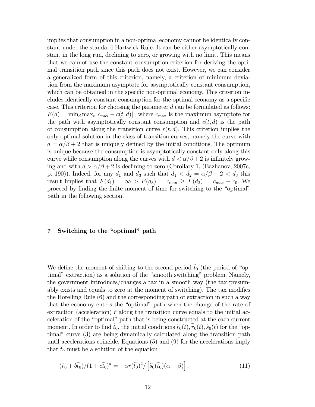implies that consumption in a non-optimal economy cannot be identically constant under the standard Hartwick Rule. It can be either asymptotically constant in the long run, declining to zero, or growing with no limit. This means that we cannot use the constant consumption criterion for deriving the optimal transition path since this path does not exist. However, we can consider a generalized form of this criterion, namely, a criterion of minimum deviation from the maximum asymptote for asymptotically constant consumption, which can be obtained in the specific non-optimal economy. This criterion includes identically constant consumption for the optimal economy as a specific case. This criterion for choosing the parameter  $d$  can be formulated as follows:  $F(d) = \min_d \max_t |c_{\max} - c(t, d)|$ , where  $c_{\max}$  is the maximum asymptote for the path with asymptotically constant consumption and  $c(t, d)$  is the path of consumption along the transition curve  $r(t, d)$ . This criterion implies the only optimal solution in the class of transition curves, namely the curve with  $d = \alpha/\beta + 2$  that is uniquely defined by the initial conditions. The optimum is unique because the consumption is asymptotically constant only along this curve while consumption along the curves with  $d < \alpha/\beta + 2$  is infinitely growing and with  $d > \alpha/\beta + 2$  is declining to zero (Corollary 1, (Bazhanov, 2007c, p. 190). Indeed, for any  $d_1$  and  $d_3$  such that  $d_1 < d_2 = \alpha/\beta + 2 < d_3$  this result implies that  $F(d_1) = \infty > F(d_3) = c_{\text{max}} \geq F(d_2) = c_{\text{max}} - c_0$ . We proceed by finding the finite moment of time for switching to the "optimal" path in the following section.

#### 7 Switching to the "optimal" path

We define the moment of shifting to the second period  $t_0$  (the period of "optimal" extraction) as a solution of the "smooth switching" problem. Namely, the government introduces/changes a tax in a smooth way (the tax presumably exists and equals to zero at the moment of switching). The tax modifies the Hotelling Rule (6) and the corresponding path of extraction in such a way that the economy enters the "optimal" path when the change of the rate of extraction (acceleration)  $\dot{r}$  along the transition curve equals to the initial acceleration of the "optimal" path that is being constructed at the each current moment. In order to find  $\tilde{t}_0$ , the initial conditions  $\tilde{r}_0(t)$ ,  $\tilde{r}_0(t)$ ,  $\tilde{s}_0(t)$  for the "optimal" curve (3) are being dynamically calculated along the transition path until accelerations coincide. Equations (5) and (9) for the accelerations imply that  $t_0$  must be a solution of the equation

$$
(\dot{r}_0 + b\tilde{t}_0)/(1 + c\tilde{t}_0)^d = -\alpha r(\tilde{t}_0)^2 / \left[\tilde{s}_0(\tilde{t}_0)(\alpha - \beta)\right],\tag{11}
$$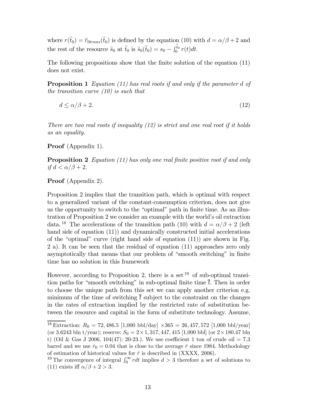where  $r(\tilde{t}_0) = \tilde{r}_{0trans}(\tilde{t}_0)$  is defined by the equation (10) with  $d = \alpha/\beta + 2$  and the rest of the resource  $\tilde{s}_0$  at  $\tilde{t}_0$  is  $\tilde{s}_0(\tilde{t}_0) = s_0 - \int_0^{t_0} r(t)dt$ .

The following propositions show that the finite solution of the equation (11) does not exist.

Proposition 1 Equation (11) has real roots if and only if the parameter d of the transition curve  $(10)$  is such that

$$
d \le \alpha/\beta + 2. \tag{12}
$$

There are two real roots if inequality  $(12)$  is strict and one real root if it holds as an equality.

Proof (Appendix 1).

**Proposition 2** Equation (11) has only one real finite positive root if and only if  $d < \alpha/\beta + 2$ .

# Proof (Appendix 2).

Proposition 2 implies that the transition path, which is optimal with respect to a generalized variant of the constant-consumption criterion, does not give us the opportunity to switch to the "optimal" path in finite time. As an illustration of Proposition 2 we consider an example with the world's oil extraction data.<sup>18</sup> The accelerations of the transition path (10) with  $d = \alpha/\beta + 2$  (left hand side of equation  $(11)$  and dynamically constructed initial accelerations of the "optimal" curve (right hand side of equation (11)) are shown in Fig. 2 a). It can be seen that the residual of equation (11) approaches zero only asymptotically that means that our problem of "smooth switching" in finite time has no solution in this framework

However, according to Proposition 2, there is a set  $^{19}$  of sub-optimal transition paths for "smooth switching" in sub-optimal finite time  $\bar{t}$ . Then in order to choose the unique path from this set we can apply another criterion e.g. minimum of the time of switching  $\bar{t}$  subject to the constraint on the changes in the rates of extraction implied by the restricted rate of substitution between the resource and capital in the form of substitute technology. Assume,

<sup>&</sup>lt;sup>18</sup> Extraction:  $R_0 = 72,486.5$  [1,000 bbl/day]  $\times 365 = 26,457,572$  [1,000 bbl/year] (or 3.6243 bln t/year); reserve:  $S_0 = 2 \times 1,317,447,415$  [1,000 bbl] (or  $2 \times 180.47$  bln t) (Oil & Gas J 2006, 104(47): 20-23.). We use coefficient 1 ton of crude oil  $= 7.3$ barrel and we use  $r_0 = 0.04$  that is close to the average r since 1984. Methodology of estimation of historical values for  $\dot{r}$  is described in (XXXX, 2006).

<sup>&</sup>lt;sup>19</sup> The convergence of integral  $\int_0^\infty r dt$  implies  $d > 3$  therefore a set of solutions to (11) exists iff  $\alpha/\beta + 2 > 3$ .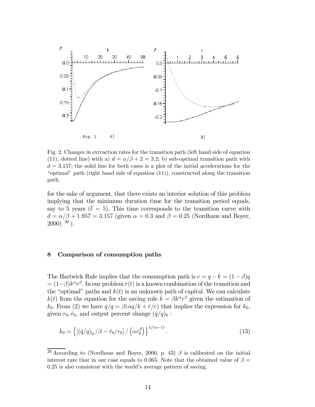

Fig. 2. Changes in extraction rates for the transition path (left hand side of equation (11), dotted line) with a)  $d = \alpha/\beta + 2 = 3.2$ ; b) sub-optimal transition path with  $d = 3.157$ ; the solid line for both cases is a plot of the initial accelerations for the "optimal" path (right hand side of equation (11)), constructed along the transition path.

for the sake of argument, that there exists an interior solution of this problem implying that the minimum duration time for the transition period equals, say to 5 years ( $\bar{t} = 5$ ). This time corresponds to the transition curve with  $d = \alpha/\beta + 1.957 = 3.157$  (given  $\alpha = 0.3$  and  $\beta = 0.25$  (Nordhaus and Boyer,  $2000$ )  $^{20}$ ).

#### 8 Comparison of consumption paths

The Hartwick Rule implies that the consumption path is  $c = q - \dot{k} = (1 - \beta)q$  $= (1-\beta)k^{\alpha}r^{\beta}$ . In our problem  $r(t)$  is a known combination of the transition and the "optimal" paths and  $k(t)$  is an unknown path of capital. We can calculate  $k(t)$  from the equation for the saving rule  $\dot{k} = \beta k^{\alpha} r^{\beta}$  given the estimation of  $k_0$ . From (2) we have  $\dot{q}/q = \beta(\alpha q/k + \dot{r}/r)$  that implies the expression for  $k_0$ , given  $r_0, \dot{r}_0$ , and output percent change  $(\dot{q}/q)_0$ :

$$
k_0 = \left\{ \left[ (\dot{q}/q)_0 / \beta - \dot{r}_0 / r_0 \right] / \left( \alpha r_0^{\beta} \right) \right\}^{1/(\alpha - 1)}.
$$
 (13)

<sup>&</sup>lt;sup>20</sup> According to (Nordhaus and Boyer, 2000, p. 43)  $\beta$  is calibrated on the initial interest rate that in our case equals to 0.065. Note that the obtained value of  $\beta =$ 0.25 is also consistent with the world's average pattern of saving.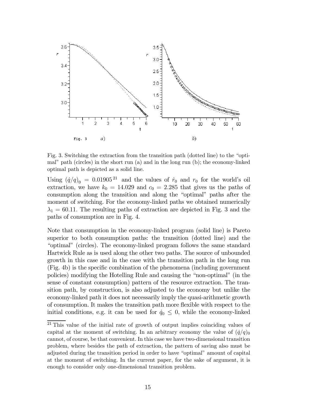

Fig. 3. Switching the extraction from the transition path (dotted line) to the "optimal" path (circles) in the short run (a) and in the long run (b); the economy-linked optimal path is depicted as a solid line.

Using  $(\dot{q}/q)_0 = 0.01905^{21}$  and the values of  $\dot{r}_0$  and  $r_0$  for the world's oil extraction, we have  $k_0 = 14.029$  and  $c_0 = 2.285$  that gives us the paths of consumption along the transition and along the "optimal" paths after the moment of switching. For the economy-linked paths we obtained numerically  $\lambda_1 = 60.11$ . The resulting paths of extraction are depicted in Fig. 3 and the paths of consumption are in Fig. 4.

Note that consumption in the economy-linked program (solid line) is Pareto superior to both consumption paths: the transition (dotted line) and the "optimal" (circles). The economy-linked program follows the same standard Hartwick Rule as is used along the other two paths. The source of unbounded growth in this case and in the case with the transition path in the long run (Fig. 4b) is the specific combination of the phenomena (including government policies) modifying the Hotelling Rule and causing the "non-optimal" (in the sense of constant consumption) pattern of the resource extraction. The transition path, by construction, is also adjusted to the economy but unlike the economy-linked path it does not necessarily imply the quasi-arithmetic growth of consumption. It makes the transition path more flexible with respect to the initial conditions, e.g. it can be used for  $\dot{q}_0 \leq 0$ , while the economy-linked

<sup>&</sup>lt;sup>21</sup> This value of the initial rate of growth of output implies coinciding values of capital at the moment of switching. In an arbitrary economy the value of  $(\dot{q}/q)$ <sup>0</sup> cannot, of course, be that convenient. In this case we have two-dimensional transition problem, where besides the path of extraction, the pattern of saving also must be adjusted during the transition period in order to have "optimal" amount of capital at the moment of switching. In the current paper, for the sake of argument, it is enough to consider only one-dimensional transition problem.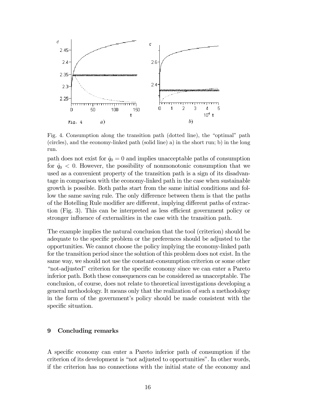

Fig. 4. Consumption along the transition path (dotted line), the "optimal" path (circles), and the economy-linked path (solid line) a) in the short run; b) in the long run.

path does not exist for  $\dot{q}_0 = 0$  and implies unacceptable paths of consumption for  $\dot{q}_0$  < 0. However, the possibility of nonmonotonic consumption that we used as a convenient property of the transition path is a sign of its disadvantage in comparison with the economy-linked path in the case when sustainable growth is possible. Both paths start from the same initial conditions and follow the same saving rule. The only difference between them is that the paths of the Hotelling Rule modifier are different, implying different paths of extraction (Fig. 3). This can be interpreted as less efficient government policy or stronger influence of externalities in the case with the transition path.

The example implies the natural conclusion that the tool (criterion) should be adequate to the specific problem or the preferences should be adjusted to the opportunities. We cannot choose the policy implying the economy-linked path for the transition period since the solution of this problem does not exist. In the same way, we should not use the constant-consumption criterion or some other "not-adjusted" criterion for the specific economy since we can enter a Pareto inferior path. Both these consequences can be considered as unacceptable. The conclusion, of course, does not relate to theoretical investigations developing a general methodology. It means only that the realization of such a methodology in the form of the government's policy should be made consistent with the specific situation.

#### 9 Concluding remarks

A specific economy can enter a Pareto inferior path of consumption if the criterion of its development is "not adjusted to opportunities". In other words, if the criterion has no connections with the initial state of the economy and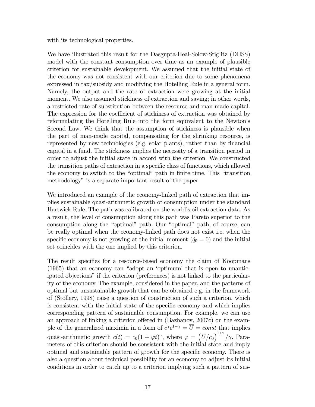with its technological properties.

We have illustrated this result for the Dasgupta-Heal-Solow-Stiglitz (DHSS) model with the constant consumption over time as an example of plausible criterion for sustainable development. We assumed that the initial state of the economy was not consistent with our criterion due to some phenomena expressed in tax/subsidy and modifying the Hotelling Rule in a general form. Namely, the output and the rate of extraction were growing at the initial moment. We also assumed stickiness of extraction and saving; in other words, a restricted rate of substitution between the resource and man-made capital. The expression for the coefficient of stickiness of extraction was obtained by reformulating the Hotelling Rule into the form equivalent to the Newton's Second Law. We think that the assumption of stickiness is plausible when the part of man-made capital, compensating for the shrinking resource, is represented by new technologies (e.g. solar plants), rather than by financial capital in a fund. The stickiness implies the necessity of a transition period in order to adjust the initial state in accord with the criterion. We constructed the transition paths of extraction in a specific class of functions, which allowed the economy to switch to the "optimal" path in finite time. This "transition methodology" is a separate important result of the paper.

We introduced an example of the economy-linked path of extraction that implies sustainable quasi-arithmetic growth of consumption under the standard Hartwick Rule. The path was calibrated on the world's oil extraction data. As a result, the level of consumption along this path was Pareto superior to the consumption along the "optimal" path. Our "optimal" path, of course, can be really optimal when the economy-linked path does not exist i.e. when the specific economy is not growing at the initial moment  $(\dot{q}_0 = 0)$  and the initial set coincides with the one implied by this criterion.

The result specifies for a resource-based economy the claim of Koopmans (1965) that an economy can "adopt an 'optimum' that is open to unanticipated objections" if the criterion (preferences) is not linked to the particularity of the economy. The example, considered in the paper, and the patterns of optimal but unsustainable growth that can be obtained e.g. in the framework of (Stollery, 1998) raise a question of construction of such a criterion, which is consistent with the initial state of the specific economy and which implies corresponding pattern of sustainable consumption. For example, we can use an approach of linking a criterion offered in (Bazhanov, 2007c) on the example of the generalized maximin in a form of  $\dot{c}^{\gamma}c^{1-\gamma} = \overline{U} = const$  that implies quasi-arithmetic growth  $c(t) = c_0(1 + \varphi t)^\gamma$ , where  $\varphi = (\overline{U}/c_0)^{1/\gamma}/\gamma$ . Parameters of this criterion should be consistent with the initial state and imply optimal and sustainable pattern of growth for the specific economy. There is also a question about technical possibility for an economy to adjust its initial conditions in order to catch up to a criterion implying such a pattern of sus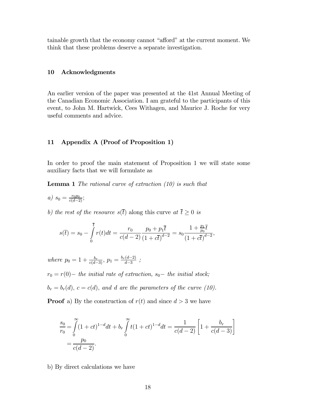tainable growth that the economy cannot "afford" at the current moment. We think that these problems deserve a separate investigation.

#### 10 Acknowledgments

An earlier version of the paper was presented at the 41st Annual Meeting of the Canadian Economic Association. I am grateful to the participants of this event, to John M. Hartwick, Cees Withagen, and Maurice J. Roche for very useful comments and advice.

## 11 Appendix A (Proof of Proposition 1)

In order to proof the main statement of Proposition 1 we will state some auxiliary facts that we will formulate as

**Lemma 1** The rational curve of extraction  $(10)$  is such that

- a)  $s_0 = \frac{r_0 p_0}{c(d-2)}$ ;
- b) the rest of the resource  $s(\bar{t})$  along this curve at  $\bar{t} \geq 0$  is

$$
s(\overline{t}) = s_0 - \int_0^{\overline{t}} r(t)dt = \frac{r_0}{c(d-2)} \frac{p_0 + p_1 \overline{t}}{(1 + c\overline{t})^{d-2}} = s_0 \frac{1 + \frac{p_1 \overline{t}}{p_0}}{(1 + c\overline{t})^{d-2}},
$$

where  $p_0 = 1 + \frac{b_r}{c(d-3)}$ ,  $p_1 = \frac{b_r(d-2)}{d-3}$  $\frac{(d-2)}{d-3}$ ;

 $r_0 = r(0)$  – the initial rate of extraction,  $s_0$  – the initial stock;

 $b_r = b_r(d)$ ,  $c = c(d)$ , and d are the parameters of the curve (10).

**Proof** a) By the construction of  $r(t)$  and since  $d > 3$  we have

$$
\frac{s_0}{r_0} = \int_0^\infty (1+ct)^{1-d} dt + b_r \int_0^\infty t(1+ct)^{1-d} dt = \frac{1}{c(d-2)} \left[ 1 + \frac{b_r}{c(d-3)} \right]
$$

$$
= \frac{p_0}{c(d-2)}.
$$

b) By direct calculations we have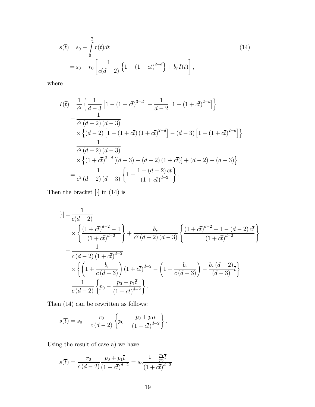$$
s(\bar{t}) = s_0 - \int_0^{\bar{t}} r(t)dt
$$
  
=  $s_0 - r_0 \left[ \frac{1}{c(d-2)} \left\{ 1 - (1 + c\bar{t})^{2-d} \right\} + b_r I(\bar{t}) \right],$  (14)

where

$$
I(\overline{t}) = \frac{1}{c^2} \left\{ \frac{1}{d-3} \left[ 1 - (1 + c\overline{t})^{3-d} \right] - \frac{1}{d-2} \left[ 1 - (1 + c\overline{t})^{2-d} \right] \right\}
$$
  
\n
$$
= \frac{1}{c^2 (d-2) (d-3)}
$$
  
\n
$$
\times \left\{ (d-2) \left[ 1 - (1 + c\overline{t}) (1 + c\overline{t})^{2-d} \right] - (d-3) \left[ 1 - (1 + c\overline{t})^{2-d} \right] \right\}
$$
  
\n
$$
= \frac{1}{c^2 (d-2) (d-3)}
$$
  
\n
$$
\times \left\{ (1 + c\overline{t})^{2-d} \left[ (d-3) - (d-2) (1 + c\overline{t}) \right] + (d-2) - (d-3) \right\}
$$
  
\n
$$
= \frac{1}{c^2 (d-2) (d-3)} \left\{ 1 - \frac{1 + (d-2) c\overline{t}}{(1 + c\overline{t})^{d-2}} \right\}.
$$

Then the bracket  $[\cdot]$  in (14) is

$$
[\cdot] = \frac{1}{c(d-2)} \times \left\{ \frac{(1+c\overline{t})^{d-2}-1}{(1+c\overline{t})^{d-2}} \right\} + \frac{b_r}{c^2(d-2)(d-3)} \left\{ \frac{(1+c\overline{t})^{d-2}-1-(d-2)\overline{c\overline{t}}}{(1+c\overline{t})^{d-2}} \right\}
$$
  
= 
$$
\frac{1}{c(d-2)(1+\overline{c\overline{t})^{d-2}} \times \left\{ \left(1+\frac{b_r}{c(d-3)}\right)(1+c\overline{t})^{d-2} - \left(1+\frac{b_r}{c(d-3)}\right) - \frac{b_r(d-2)}{(d-3)}\overline{t} \right\}
$$
  
= 
$$
\frac{1}{c(d-2)} \left\{ p_0 - \frac{p_0 + p_1\overline{t}}{(1+c\overline{t})^{d-2}} \right\}.
$$

Then (14) can be rewritten as follows:

$$
s(\overline{t}) = s_0 - \frac{r_0}{c(d-2)} \left\{ p_0 - \frac{p_0 + p_1 \overline{t}}{\left(1 + c \overline{t}\right)^{d-2}} \right\}.
$$

Using the result of case a) we have

$$
s(\overline{t}) = \frac{r_0}{c(d-2)} \frac{p_0 + p_1 \overline{t}}{(1 + c\overline{t})^{d-2}} = s_0 \frac{1 + \frac{p_1}{p_0} \overline{t}}{(1 + c\overline{t})^{d-2}}
$$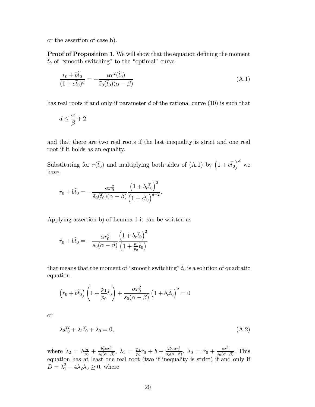or the assertion of case b).

**Proof of Proposition 1.** We will show that the equation defining the moment  $\tilde{t}_0$  of "smooth switching" to the "optimal" curve

$$
\frac{\dot{r}_0 + b\tilde{t}_0}{(1 + c\tilde{t}_0)^d} = -\frac{\alpha r^2(\tilde{t}_0)}{\tilde{s}_0(\tilde{t}_0)(\alpha - \beta)}
$$
(A.1)

has real roots if and only if parameter d of the rational curve  $(10)$  is such that

$$
d\leq \frac{\alpha}{\beta}+2
$$

and that there are two real roots if the last inequality is strict and one real root if it holds as an equality.

Substituting for  $r(\tilde{t}_0)$  and multiplying both sides of (A.1) by  $(1 + c\tilde{t}_0)^d$  we have

$$
\dot{r}_0 + b\tilde{t}_0 = -\frac{\alpha r_0^2}{\tilde{s}_0(\tilde{t}_0)(\alpha - \beta)} \frac{\left(1 + b_r \tilde{t}_0\right)^2}{\left(1 + c\tilde{t}_0\right)^{d-2}}.
$$

Applying assertion b) of Lemma 1 it can be written as

$$
\dot{r}_0 + b\tilde{t}_0 = -\frac{\alpha r_0^2}{s_0(\alpha - \beta)} \frac{\left(1 + b_r \tilde{t}_0\right)^2}{\left(1 + \frac{p_1}{p_0} \tilde{t}_0\right)}
$$

that means that the moment of "smooth switching"  $\tilde{t}_0$  is a solution of quadratic equation

$$
\left(\dot{r}_0 + b\tilde{t}_0\right)\left(1 + \frac{p_1}{p_0}\tilde{t}_0\right) + \frac{\alpha r_0^2}{s_0(\alpha - \beta)}\left(1 + b_r\tilde{t}_0\right)^2 = 0
$$

or

$$
\lambda_2 \tilde{t}_0^2 + \lambda_1 \tilde{t}_0 + \lambda_0 = 0,\tag{A.2}
$$

where  $\lambda_2 = b \frac{p_1}{p_0}$  $\frac{p_1}{p_0} + \frac{b_r^2 \alpha r_0^2}{s_0(\alpha - \beta)}, \ \lambda_1 = \frac{p_1}{p_0}$  $\frac{p_1}{p_0}\dot{r}_0 + b + \frac{2b_r\alpha r_0^2}{s_0(\alpha-\beta)}, \ \lambda_0 = \dot{r}_0 + \frac{\alpha r_0^2}{s_0(\alpha-\beta)}.$  This equation has at least one real root (two if inequality is strict) if and only if  $D = \lambda_1^2 - 4\lambda_2\lambda_0 \geq 0$ , where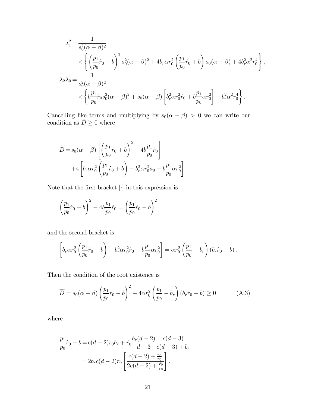$$
\lambda_1^2 = \frac{1}{s_0^2(\alpha - \beta)^2} \times \left\{ \left( \frac{p_1}{p_0} \dot{r}_0 + b \right)^2 s_0^2 (\alpha - \beta)^2 + 4b_r \alpha r_0^2 \left( \frac{p_1}{p_0} \dot{r}_0 + b \right) s_0 (\alpha - \beta) + 4b_r^2 \alpha^2 r_0^4 \right\}, \lambda_2 \lambda_0 = \frac{1}{s_0^2 (\alpha - \beta)^2} \times \left\{ b \frac{p_1}{p_0} \dot{r}_0 s_0^2 (\alpha - \beta)^2 + s_0 (\alpha - \beta) \left[ b_r^2 \alpha r_0^2 \dot{r}_0 + b \frac{p_1}{p_0} \alpha r_0^2 \right] + b_r^2 \alpha^2 r_0^4 \right\}.
$$

Cancelling like terms and multiplying by  $s_0(\alpha - \beta) > 0$  we can write our condition as  $D \geq 0$  where

$$
\widetilde{D} = s_0(\alpha - \beta) \left[ \left( \frac{p_1}{p_0} \dot{r}_0 + b \right)^2 - 4b \frac{p_1}{p_0} \dot{r}_0 \right] + 4 \left[ b_r \alpha r_0^2 \left( \frac{p_1}{p_0} \dot{r}_0 + b \right) - b_r^2 \alpha r_0^2 a_0 - b \frac{p_1}{p_0} \alpha r_0^2 \right].
$$

Note that the first bracket  $[\cdot]$  in this expression is

$$
\left(\frac{p_1}{p_0}\dot{r}_0+b\right)^2-4b\frac{p_1}{p_0}\dot{r}_0=\left(\frac{p_1}{p_0}\dot{r}_0-b\right)^2
$$

and the second bracket is

$$
\left[b_r \alpha r_0^2 \left(\frac{p_1}{p_0}\dot{r}_0 + b\right) - b_r^2 \alpha r_0^2 \dot{r}_0 - b\frac{p_1}{p_0} \alpha r_0^2\right] = \alpha r_0^2 \left(\frac{p_1}{p_0} - b_r\right) \left(b_r \dot{r}_0 - b\right).
$$

Then the condition of the root existence is

$$
\widetilde{D} = s_0(\alpha - \beta) \left(\frac{p_1}{p_0}\dot{r}_0 - b\right)^2 + 4\alpha r_0^2 \left(\frac{p_1}{p_0} - b_r\right) (b_r \dot{r}_0 - b) \ge 0 \tag{A.3}
$$

where

$$
\frac{p_1}{p_0}\dot{r}_0 - b = c(d-2)r_0b_r + \dot{r}_0 \frac{b_r(d-2)}{d-3} \frac{c(d-3)}{c(d-3) + b_r}
$$

$$
= 2b_r c(d-2)r_0 \left[ \frac{c(d-2) + \frac{\dot{r}_0}{r_0}}{2c(d-2) + \frac{\dot{r}_0}{r_0}} \right],
$$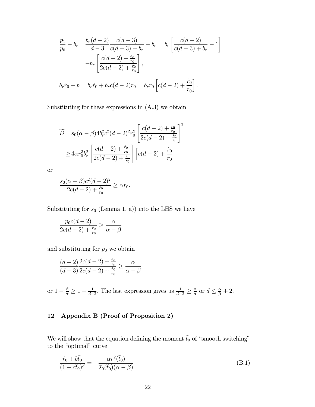$$
\frac{p_1}{p_0} - b_r = \frac{b_r(d-2)}{d-3} \frac{c(d-3)}{c(d-3) + b_r} - b_r = b_r \left[ \frac{c(d-2)}{c(d-3) + b_r} - 1 \right]
$$

$$
= -b_r \left[ \frac{c(d-2) + \frac{\dot{r}_0}{r_0}}{2c(d-2) + \frac{\dot{r}_0}{r_0}} \right],
$$

$$
b_r \dot{r}_0 - b = b_r \dot{r}_0 + b_r c(d-2) r_0 = b_r r_0 \left[ c(d-2) + \frac{\dot{r}_0}{r_0} \right].
$$

Substituting for these expressions in  $(A.3)$  we obtain

$$
\widetilde{D} = s_0(\alpha - \beta)4b_r^2c^2(d - 2)^2r_0^2 \left[ \frac{c(d - 2) + \frac{\dot{r}_0}{r_0}}{2c(d - 2) + \frac{\dot{r}_0}{r_0}} \right]^2
$$
\n
$$
\geq 4\alpha r_0^3 b_r^2 \left[ \frac{c(d - 2) + \frac{\dot{r}_0}{r_0}}{2c(d - 2) + \frac{\dot{r}_0}{r_0}} \right] \left[ c(d - 2) + \frac{\dot{r}_0}{r_0} \right]
$$

or

$$
\frac{s_0(\alpha - \beta)c^2(d - 2)^2}{2c(d - 2) + \frac{\dot{r}_0}{r_0}} \ge \alpha r_0.
$$

Substituting for  $s_0$  (Lemma 1, a)) into the LHS we have

$$
\frac{p_0 c(d-2)}{2c(d-2) + \frac{\dot{r}_0}{r_0}} \ge \frac{\alpha}{\alpha - \beta}
$$

and substituting for  $p_0$  we obtain

$$
\frac{(d-2)}{(d-3)} \frac{2c(d-2) + \frac{\dot{r}_0}{r_0}}{2c(d-2) + \frac{\dot{r}_0}{r_0}} \ge \frac{\alpha}{\alpha - \beta}
$$

or  $1 - \frac{\beta}{\alpha} \ge 1 - \frac{1}{d-2}$ . The last expression gives us  $\frac{1}{d-2} \ge \frac{\beta}{\alpha}$  $\frac{\beta}{\alpha}$  or  $d \leq \frac{\alpha}{\beta} + 2$ .

## 12 Appendix B (Proof of Proposition 2)

We will show that the equation defining the moment  $\tilde{t}_0$  of "smooth switching" to the "optimal" curve

$$
\frac{\dot{r}_0 + b\tilde{t}_0}{(1 + c\tilde{t}_0)^d} = -\frac{\alpha r^2(\tilde{t}_0)}{\tilde{s}_0(\tilde{t}_0)(\alpha - \beta)}
$$
(B.1)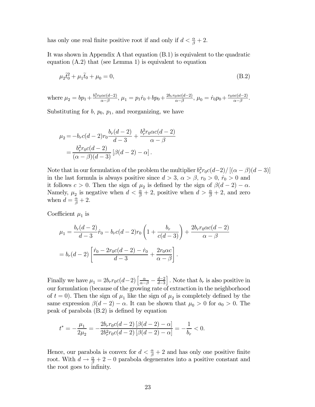has only one real finite positive root if and only if  $d < \frac{\alpha}{\beta} + 2$ .

It was shown in Appendix A that equation (B.1) is equivalent to the quadratic equation (A.2) that (see Lemma 1) is equivalent to equation

$$
\mu_2 \tilde{t}_0^2 + \mu_1 \tilde{t}_0 + \mu_0 = 0,\tag{B.2}
$$

where 
$$
\mu_2 = bp_1 + \frac{b_r^2 r_0 \alpha c(d-2)}{\alpha - \beta}
$$
,  $\mu_1 = p_1 \dot{r}_0 + bp_0 + \frac{2b_r r_0 \alpha c(d-2)}{\alpha - \beta}$ ,  $\mu_0 = \dot{r}_0 p_0 + \frac{r_0 \alpha c(d-2)}{\alpha - \beta}$ .

Substituting for  $b, p_0, p_1$ , and reorganizing, we have

$$
\mu_2 = -b_r c(d-2)r_0 \frac{b_r(d-2)}{d-3} + \frac{b_r^2 r_0 \alpha c(d-2)}{\alpha - \beta}
$$

$$
= \frac{b_r^2 r_0 c(d-2)}{(\alpha - \beta)(d-3)} [\beta(d-2) - \alpha].
$$

Note that in our formulation of the problem the multiplier  $b_r^2 r_0 c(d-2) / [( \alpha - \beta)(d-3) ]$ in the last formula is always positive since  $d > 3$ ,  $\alpha > \beta$ ,  $r_0 > 0$ ,  $\dot{r}_0 > 0$  and it follows  $c > 0$ . Then the sign of  $\mu_2$  is defined by the sign of  $\beta(d-2) - \alpha$ . Namely,  $\mu_2$  is negative when  $d < \frac{\alpha}{\beta} + 2$ , positive when  $d > \frac{\alpha}{\beta} + 2$ , and zero when  $d = \frac{\alpha}{\beta} + 2$ .

Coefficient  $\mu_1$  is

$$
\mu_1 = \frac{b_r(d-2)}{d-3}\dot{r}_0 - b_r c(d-2)r_0 \left(1 + \frac{b_r}{c(d-3)}\right) + \frac{2b_r r_0 \alpha c(d-2)}{\alpha - \beta}
$$

$$
= b_r(d-2) \left[\frac{\dot{r}_0 - 2r_0 c(d-2) - \dot{r}_0}{d-3} + \frac{2r_0 \alpha c}{\alpha - \beta}\right].
$$

Finally we have  $\mu_1 = 2b_r r_0 c(d-2) \left[ \frac{\alpha}{\alpha - \beta} - \frac{d-2}{d-3} \right]$ . Note that  $b_r$  is also positive in our formulation (because of the growing rate of extraction in the neighborhood of  $t = 0$ ). Then the sign of  $\mu_1$  like the sign of  $\mu_2$  is completely defined by the same expression  $\beta(d-2) - \alpha$ . It can be shown that  $\mu_0 > 0$  for  $a_0 > 0$ . The peak of parabola (B.2) is defined by equation

$$
t^* = -\frac{\mu_1}{2\mu_2} = -\frac{2b_r r_0 c(d-2) \left[\beta(d-2) - \alpha\right]}{2b_r^2 r_0 c(d-2) \left[\beta(d-2) - \alpha\right]} = -\frac{1}{b_r} < 0.
$$

Hence, our parabola is convex for  $d < \frac{\alpha}{\beta} + 2$  and has only one positive finite root. With  $d \to \frac{\alpha}{\beta} + 2 - 0$  parabola degenerates into a positive constant and the root goes to infinity.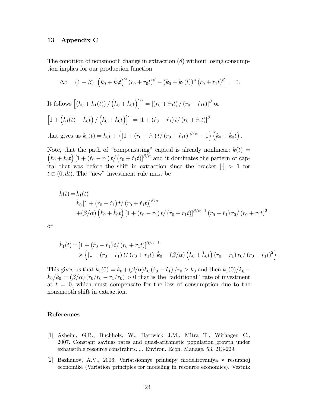#### 13 Appendix C

The condition of nonsmooth change in extraction (8) without losing consumption implies for our production function

$$
\Delta c = (1 - \beta) \left[ \left( k_0 + \dot{k}_0 t \right)^{\alpha} \left( r_0 + \dot{r}_0 t \right)^{\beta} - \left( k_0 + k_1(t) \right)^{\alpha} \left( r_0 + \dot{r}_1 t \right)^{\beta} \right] = 0.
$$

It follows  $\left[\left(k_0+k_1(t)\right)/\left(k_0+\dot{k}_0t\right)\right]^\alpha=\left[\left(r_0+\dot{r}_0t\right)/\left(r_0+\dot{r}_1t\right)\right]^\beta$  or  $\left[1+\left(k_{1}(t)-\dot{k}_{0}t\right)/\left(k_{0}+\dot{k}_{0}t\right)\right]^{\alpha}=\left[1+\left(\dot{r}_{0}-\dot{r}_{1}\right)t/\left(r_{0}+\dot{r}_{1}t\right)\right]^{\beta}$ 

that gives us  $k_1(t) = \dot{k}_0 t + \left\{ \left[1 + (\dot{r}_0 - \dot{r}_1) t / (r_0 + \dot{r}_1 t) \right]^{\beta/\alpha} - 1 \right\} (k_0 + \dot{k}_0 t).$ 

Note, that the path of "compensating" capital is already nonlinear:  $k(t)$  =  $(k_0 + k_0t)$   $[1 + (\dot{r}_0 - \dot{r}_1)t/(r_0 + \dot{r}_1t)]^{\beta/\alpha}$  and it dominates the pattern of capital that was before the shift in extraction since the bracket  $[\cdot] > 1$  for  $t \in (0, dt)$ . The "new" investment rule must be

$$
\dot{k}(t) = \dot{k}_1(t)
$$
  
=  $\dot{k}_0 [1 + (\dot{r}_0 - \dot{r}_1) t / (r_0 + \dot{r}_1 t)]^{\beta/\alpha}$   
+  $({\beta}/{\alpha}) (k_0 + \dot{k}_0 t) [1 + (\dot{r}_0 - \dot{r}_1) t / (r_0 + \dot{r}_1 t)]^{\beta/\alpha - 1} (\dot{r}_0 - \dot{r}_1) r_0 / (r_0 + \dot{r}_1 t)^2$ 

or

$$
\dot{k}_1(t) = \left[1 + (\dot{r}_0 - \dot{r}_1) t / (r_0 + \dot{r}_1 t)\right]^{\beta/\alpha - 1} \times \left\{ \left[1 + (\dot{r}_0 - \dot{r}_1) t / (r_0 + \dot{r}_1 t)\right] \dot{k}_0 + (\beta/\alpha) \left(k_0 + \dot{k}_0 t\right) (\dot{r}_0 - \dot{r}_1) r_0 / (r_0 + \dot{r}_1 t)^2 \right\}.
$$

This gives us that  $\dot{k}_1(0) = \dot{k}_0 + (\beta/\alpha)k_0 (\dot{r}_0 - \dot{r}_1)/r_0 > \dot{k}_0$  and then  $\dot{k}_1(0)/k_0$  $k_0/k_0 = (\beta/\alpha)(\dot{r}_0/r_0 - \dot{r}_1/r_0) > 0$  that is the "additional" rate of investment at  $t = 0$ , which must compensate for the loss of consumption due to the nonsmooth shift in extraction.

#### References

- [1] Asheim, G.B., Buchholz, W., Hartwick J.M., Mitra T., Withagen C., 2007. Constant savings rates and quasi-arithmetic population growth under exhaustible resource constraints. J. Environ. Econ. Manage. 53, 213-229.
- [2] Bazhanov, A.V., 2006. Variatsionnye printsipy modelirovaniya v resursnoj economike (Variation principles for modeling in resource economics). Vestnik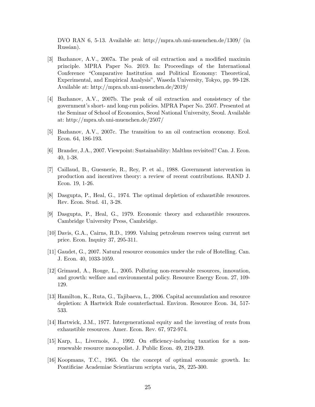DVO RAN 6, 5-13. Available at: http://mpra.ub.uni-muenchen.de/1309/ (in Russian).

- [3] Bazhanov, A.V., 2007a. The peak of oil extraction and a modified maximin principle. MPRA Paper No. 2019. In: Proceedings of the International Conference "Comparative Institution and Political Economy: Theoretical, Experimental, and Empirical Analysis", Waseda University, Tokyo, pp. 99-128. Available at: http://mpra.ub.uni-muenchen.de/2019/
- [4] Bazhanov, A.V., 2007b. The peak of oil extraction and consistency of the government's short- and long-run policies. MPRA Paper No. 2507. Presented at the Seminar of School of Economics, Seoul National University, Seoul. Available at: http://mpra.ub.uni-muenchen.de/2507/
- [5] Bazhanov, A.V., 2007c. The transition to an oil contraction economy. Ecol. Econ. 64, 186-193.
- [6] Brander, J.A., 2007. Viewpoint: Sustainability: Malthus revisited? Can. J. Econ. 40, 1-38.
- [7] Caillaud, B., Guesnerie, R., Rey, P. et al., 1988. Government intervention in production and incentives theory: a review of recent contributions. RAND J. Econ. 19, 1-26.
- [8] Dasgupta, P., Heal, G., 1974. The optimal depletion of exhaustible resources. Rev. Econ. Stud. 41, 3-28.
- [9] Dasgupta, P., Heal, G., 1979. Economic theory and exhaustible resources. Cambridge University Press, Cambridge.
- [10] Davis, G.A., Cairns, R.D., 1999. Valuing petroleum reserves using current net price. Econ. Inquiry 37, 295-311.
- [11] Gaudet, G., 2007. Natural resource economics under the rule of Hotelling. Can. J. Econ. 40, 1033-1059.
- [12] Grimaud, A., Rouge, L., 2005. Polluting non-renewable resources, innovation, and growth: welfare and environmental policy. Resource Energy Econ. 27, 109- 129.
- [13] Hamilton, K., Ruta, G., Tajibaeva, L., 2006. Capital accumulation and resource depletion: A Hartwick Rule counterfactual. Environ. Resource Econ. 34, 517- 533.
- [14] Hartwick, J.M., 1977. Intergenerational equity and the investing of rents from exhaustible resources. Amer. Econ. Rev. 67, 972-974.
- [15] Karp, L., Livernois, J., 1992. On efficiency-inducing taxation for a nonrenewable resource monopolist. J. Public Econ. 49, 219-239.
- [16] Koopmans, T.C., 1965. On the concept of optimal economic growth. In: Pontificiae Academiae Scientiarum scripta varia, 28, 225-300.